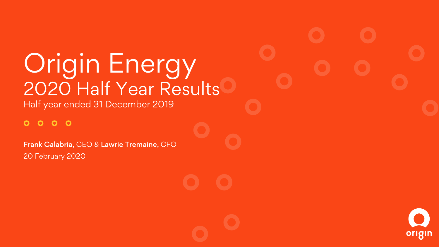# **Origin Energy** 2020 Half Year Results

Half year ended 31 December 2019

#### $000$  $\bullet$

Frank Calabria, CEO & Lawrie Tremaine, CFO 20 February 2020

origin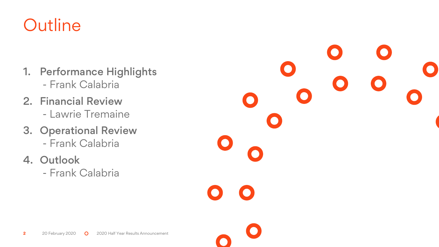## **Outline**

- 1. Performance Highlights - Frank Calabria
- 2. Financial Review - Lawrie Tremaine
- 3. Operational Review - Frank Calabria
- 4. Outlook
	- Frank Calabria

 $\bullet$  $\bullet$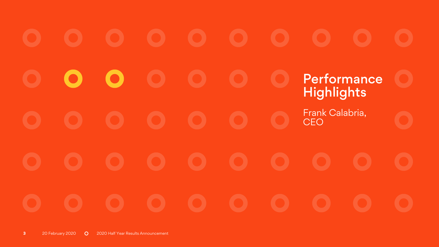# Performance **Highlights** Frank Calabria, CEO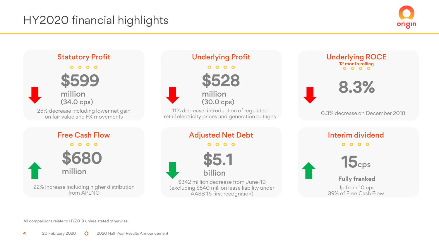## HY2020 financial highlights





All comparisons relate to HY2019 unless stated otherwise.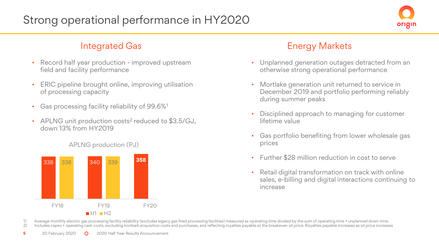

- Record half year production improved upstream field and facility performance
- ERIC pipeline brought online, improving utilisation of processing capacity
- Gas processing facility reliability of 99.6%<sup>1</sup>
- APLNG unit production costs<sup>2</sup> reduced to \$3.5/GJ, down 13% from HY2019



APLNG production (PJ)

## Integrated Gas **Energy Markets**

- Unplanned generation outages detracted from an otherwise strong operational performance
- Mortlake generation unit returned to service in December 2019 and portfolio performing reliably during summer peaks
- Disciplined approach to managing for customer lifetime value
- Gas portfolio benefiting from lower wholesale gas prices
- Further \$28 million reduction in cost to serve
- Retail digital transformation on track with online sales, e-billing and digital interactions continuing to increase

1) Average monthly electric gas processing facility reliability (excludes legacy gas fired processing facilities) measured as operating time divided by the sum of operating time + unplanned down time.<br>2) Includes capex + o Includes capex + operating cash costs, excluding Ironbark acquisition costs and purchases, and reflecting royalties payable at the breakeven oil price. Royalties payable increases as oil price increases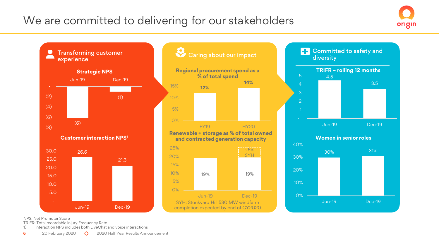## We are committed to delivering for our stakeholders



3.5

Transforming customer<br>experience<br>experience **Committed to safety and** Transforming customer  $\bullet$ diversity **Regional procurement spend as a TRIFR – rolling 12 months Strategic NPS % of total spend** 4.5 Jun-19 Dec-19 **14%** 4 15% **12%** (2)  $(1)$ 10% 2 (4) 5% (6) 0% (6) Jun-19 Dec-19 FY19 HY20 (8) **Renewable + storage as % of total owned Women in senior roles Customer interaction NPS<sup>1</sup> and contracted generation capacity**  40% 25%  $~1.6\%$ 30% 31% 30.0 26.6 **SYH** 20% 30% 25.0 21.3 15% 20.0 20% 10% 19% 19% 15.0 5% 10%  $10.0<sub>1</sub>$ 0% 5.0 0% Jun-19 Dec-19 SYH: Stockyard Hill 530 MW windfarm Jun-19 Dec-19Jun-19 Dec-19 completion expected by end of CY2020

NPS: Net Promoter Score

TRIFR: Total recordable Injury Frequency Rate

1) Interaction NPS includes both LiveChat and voice interactions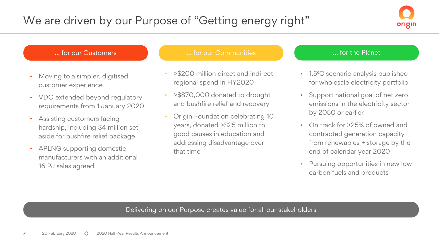

#### … for our Customers

- Moving to a simpler, digitised customer experience
- VDO extended beyond regulatory requirements from 1 January 2020
- Assisting customers facing hardship, including \$4 million set aside for bushfire relief package
- APLNG supporting domestic manufacturers with an additional 16 PJ sales agreed

#### … for our Communities

- >\$200 million direct and indirect regional spend in HY2020
- >\$870,000 donated to drought and bushfire relief and recovery
- Origin Foundation celebrating 10 years, donated >\$25 million to good causes in education and addressing disadvantage over that time

#### … for the Planet

- 1.5°C scenario analysis published for wholesale electricity portfolio
- Support national goal of net zero emissions in the electricity sector by 2050 or earlier
- On track for >25% of owned and contracted generation capacity from renewables + storage by the end of calendar year 2020
- Pursuing opportunities in new low carbon fuels and products

#### Delivering on our Purpose creates value for all our stakeholders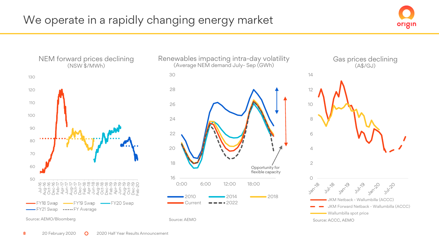## We operate in a rapidly changing energy market





Source: AEMO

#### Gas prices declining (A\$/GJ)



Source: AEMO/Bloomberg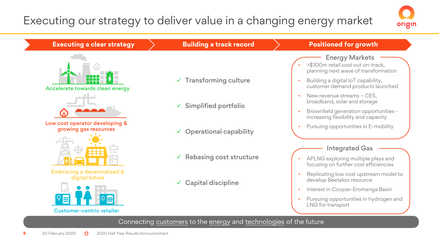## Executing our strategy to deliver value in a changing energy market



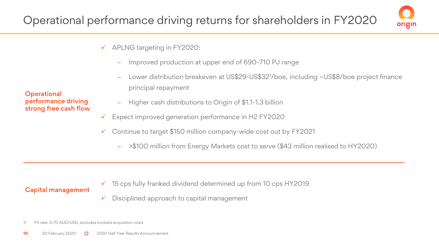

- ✓ APLNG targeting in FY2020:
	- Improved production at upper end of 690-710 PJ range
	- Lower distribution breakeven at US\$29-US\$32<sup>1</sup>/boe, including ~US\$8/boe project finance principal repayment
	- ‒ Higher cash distributions to Origin of \$1.1-1.3 billion
- ✓ Expect improved generation performance in H2 FY2020
- ✓ Continue to target \$150 million company-wide cost out by FY2021
	- ‒ >\$100 million from Energy Markets cost to serve (\$43 million realised to HY2020)

## Capital management

- ✓ 15 cps fully franked dividend determined up from 10 cps HY2019
- $\checkmark$  Disciplined approach to capital management

#### **Operational** performance driving strong free cash flow

<sup>1)</sup> FX rate: 0.70 AUD/USD, excludes Ironbark acquisition costs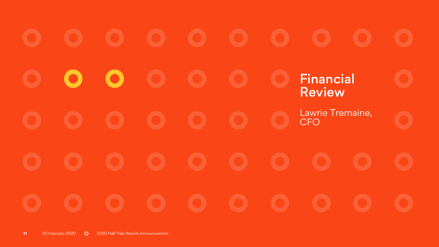Financial Review Lawrie Tremaine, CFO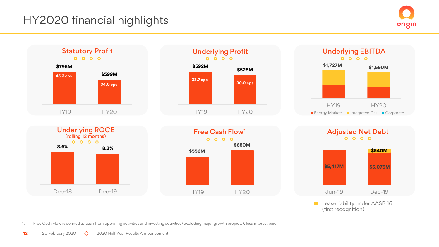## HY2020 financial highlights

origin



**Lease liability under AASB 16** (first recognition)

**\$540M**

1) Free Cash Flow is defined as cash from operating activities and investing activities (excluding major growth projects), less interest paid.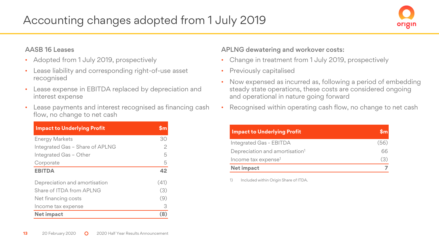## Accounting changes adopted from 1 July 2019



#### AASB 16 Leases

- Adopted from 1 July 2019, prospectively
- Lease liability and corresponding right-of-use asset recognised
- Lease expense in EBITDA replaced by depreciation and interest expense
- Lease payments and interest recognised as financing cash flow, no change to net cash

| <b>Impact to Underlying Profit</b> | Sm   |
|------------------------------------|------|
| <b>Energy Markets</b>              | 30   |
| Integrated Gas - Share of APLNG    | 2    |
| Integrated Gas - Other             | 5    |
| Corporate                          | 5    |
| <b>EBITDA</b>                      | 42   |
| Depreciation and amortisation      | (41) |
| Share of ITDA from API NG          | (3)  |
| Net financing costs                | (9)  |
| Income tax expense                 | 3    |
| <b>Net impact</b>                  | (8)  |

#### APLNG dewatering and workover costs:

- Change in treatment from 1 July 2019, prospectively
- Previously capitalised
- Now expensed as incurred as, following a period of embedding steady state operations, these costs are considered ongoing and operational in nature going forward
- Recognised within operating cash flow, no change to net cash

| <b>Impact to Underlying Profit</b>         |      |
|--------------------------------------------|------|
| Integrated Gas - EBITDA                    | (56) |
| Depreciation and amortisation <sup>1</sup> | 66   |
| Income tax expense <sup>1</sup>            | (3)  |
| Net impact                                 |      |

1) Included within Origin Share of ITDA.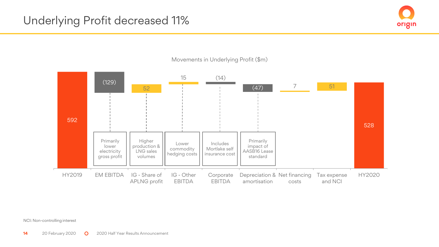



Movements in Underlying Profit (\$m)

NCI: Non-controlling interest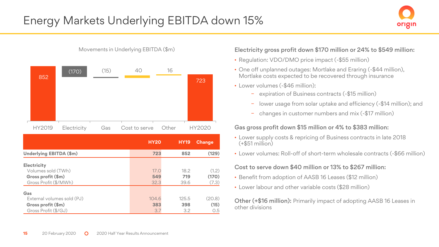

**HY20 HY19 Change Underlying EBITDA (\$m) 723 852 (129) Electricity** Volumes sold (TWh) 17.0 18.2 (1.2) **Gross profit (\$m) 549 719 (170)** Gross Profit (\$/MWh) 32.3 39.6 (7.3) **Gas** External volumes sold (PJ) 104.6 125.5 (20.8) **Gross profit (\$m) 383 398 (15)** Gross Profit (\$/GJ) 3.7 3.2 0.5 852 723 (170) (15) 40 16 HY2019 Electricity Gas Cost to serve Other HY2020

Movements in Underlying EBITDA (\$m)

Electricity gross profit down \$170 million or 24% to \$549 million:

- Regulation: VDO/DMO price impact (-\$55 million)
- One off unplanned outages: Mortlake and Eraring (-\$44 million), Mortlake costs expected to be recovered through insurance
- Lower volumes (-\$46 million):
	- − expiration of Business contracts (-\$15 million)
	- lower usage from solar uptake and efficiency (-\$14 million); and
	- − changes in customer numbers and mix (-\$17 million)

#### Gas gross profit down \$15 million or 4% to \$383 million:

- Lower supply costs & repricing of Business contracts in late 2018 (+\$51 million)
- Lower volumes: Roll-off of short-term wholesale contracts (-\$66 million)

#### Cost to serve down \$40 million or 13% to \$267 million:

- Benefit from adoption of AASB 16 Leases (\$12 million)
- Lower labour and other variable costs (\$28 million)

Other (+\$16 million): Primarily impact of adopting AASB 16 Leases in other divisions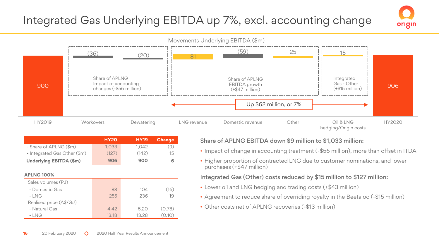## Integrated Gas Underlying EBITDA up 7%, excl. accounting change



|                              | <b>HY20</b> | <b>HY19</b> | Change |
|------------------------------|-------------|-------------|--------|
| - Share of APLNG (\$m)       | 1.033       | 1.042       | (9)    |
| - Integrated Gas Other (\$m) | (127)       | (142)       | 15     |
| Underlying EBITDA (\$m)      | 906         | 900         | 6      |
|                              |             |             |        |

| <b>APLNG 100%</b>       |       |       |        |
|-------------------------|-------|-------|--------|
| Sales volumes (PJ)      |       |       |        |
| - Domestic Gas          | 88    | 104   | (16)   |
| $-LNG$                  | 255   | 236   | 19     |
| Realised price (A\$/GJ) |       |       |        |
| - Natural Gas           | 4.42  | 5.20  | (0.78) |
| $-LNG$                  | 13.18 | 13.28 | (0.10) |

#### Share of APLNG EBITDA down \$9 million to \$1,033 million:

• Impact of change in accounting treatment (-\$56 million), more than offset in ITDA

origin

• Higher proportion of contracted LNG due to customer nominations, and lower purchases (+\$47 million)

#### Integrated Gas (Other) costs reduced by \$15 million to \$127 million:

- Lower oil and LNG hedging and trading costs (+\$43 million)
- Agreement to reduce share of overriding royalty in the Beetaloo (-\$15 million)
- Other costs net of APLNG recoveries (-\$13 million)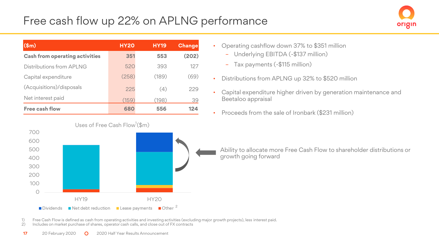## Free cash flow up 22% on APLNG performance



| $(\$m)$                               | <b>HY20</b> | <b>HY19</b> | Change |
|---------------------------------------|-------------|-------------|--------|
| <b>Cash from operating activities</b> | 351         | 553         | (202)  |
| Distributions from API NG             | 520         | 393         | 127    |
| Capital expenditure                   | (258)       | (189)       | (69)   |
| (Acquisitions)/disposals              | 225         | (4)         | 229    |
| Net interest paid                     | (159)       | (198)       | 39     |
| Free cash flow                        | 680         | 556         | 124    |



- Operating cashflow down 37% to \$351 million
	- Underlying EBITDA (-\$137 million)
	- Tax payments (-\$115 million)
- Distributions from APLNG up 32% to \$520 million
- Capital expenditure higher driven by generation maintenance and Beetaloo appraisal
- Proceeds from the sale of Ironbark (\$231 million)

Ability to allocate more Free Cash Flow to shareholder distributions or growth going forward

- 1) Free Cash Flow is defined as cash from operating activities and investing activities (excluding major growth projects), less interest paid.
- 2) Includes on market purchase of shares, operator cash calls, and close out of FX contracts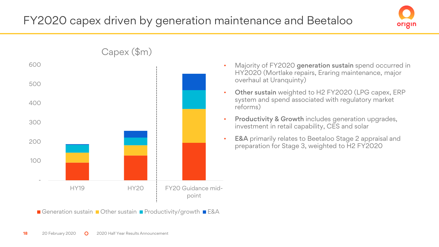



- Majority of FY2020 generation sustain spend occurred in HY2020 (Mortlake repairs, Eraring maintenance, major overhaul at Uranquinty)
- Other sustain weighted to H2 FY2020 (LPG capex, ERP system and spend associated with regulatory market reforms)
- Productivity & Growth includes generation upgrades, investment in retail capability, CES and solar
- **E&A** primarily relates to Beetaloo Stage 2 appraisal and preparation for Stage 3, weighted to H2 FY2020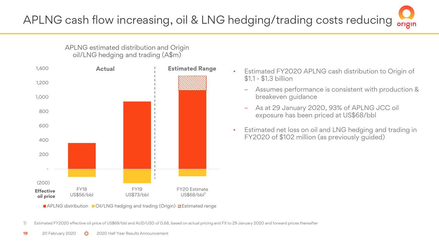APLNG estimated distribution and Origin oil/LNG hedging and trading (A\$m)



<sup>■</sup> APLNG distribution ■ Oil/LNG hedging and trading (Origin) & Estimated range

1) Estimated FY2020 effective oil price of US\$68/bbl and AUD/USD of 0.68, based on actual pricing and FX to 29 January 2020 and forward prices thereafter

- Estimated FY2020 APLNG cash distribution to Origin of \$1.1 - \$1.3 billion
	- Assumes performance is consistent with production & breakeven guidance
	- As at 29 January 2020, 93% of APLNG JCC oil exposure has been priced at US\$68/bbl
- Estimated net loss on oil and LNG hedging and trading in FY2020 of \$102 million (as previously guided)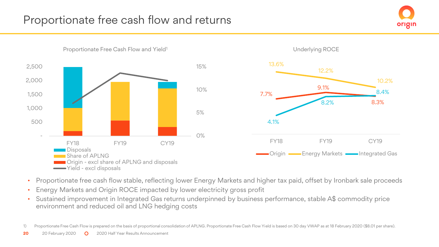



- Proportionate free cash flow stable, reflecting lower Energy Markets and higher tax paid, offset by Ironbark sale proceeds
- Energy Markets and Origin ROCE impacted by lower electricity gross profit
- Sustained improvement in Integrated Gas returns underpinned by business performance, stable A\$ commodity price environment and reduced oil and LNG hedging costs

1) Proportionate Free Cash Flow is prepared on the basis of proportional consolidation of APLNG. Proportionate Free Cash Flow Yield is based on 30 day VWAP as at 18 February 2020 (\$8.01 per share).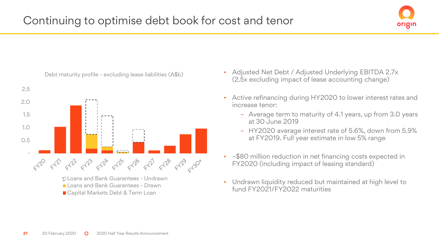



- Adjusted Net Debt / Adjusted Underlying EBITDA 2.7x (2.5x excluding impact of lease accounting change)
- Active refinancing during HY2020 to lower interest rates and increase tenor:
	- Average term to maturity of 4.1 years, up from 3.0 years at 30 June 2019
	- HY2020 average interest rate of 5.6%, down from 5.9% at FY2019. Full year estimate in low 5% range
- ~\$80 million reduction in net financing costs expected in FY2020 (including impact of leasing standard)
- Undrawn liquidity reduced but maintained at high level to fund FY2021/FY2022 maturities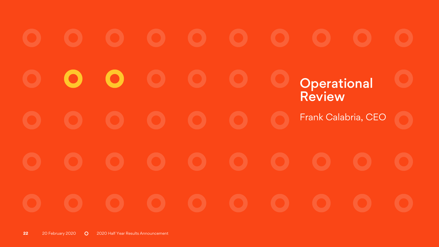# **Operational** Review Frank Calabria, CEO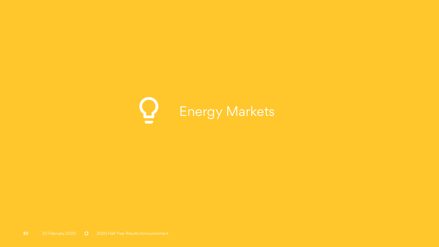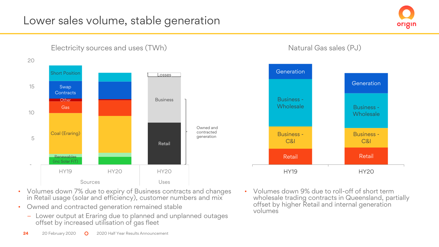## Lower sales volume, stable generation





Electricity sources and uses (TWh)

Natural Gas sales (PJ)



- Volumes down 7% due to expiry of Business contracts and changes in Retail usage (solar and efficiency), customer numbers and mix
- Owned and contracted generation remained stable
	- Lower output at Eraring due to planned and unplanned outages offset by increased utilisation of gas fleet
- Volumes down 9% due to roll-off of short term wholesale trading contracts in Queensland, partially offset by higher Retail and internal generation volumes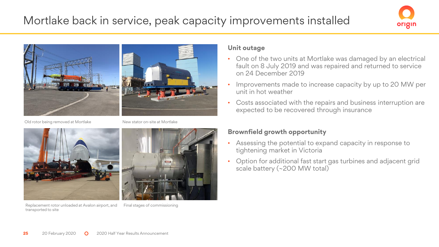## Mortlake back in service, peak capacity improvements installed





Old rotor being removed at Mortlake



Replacement rotor unloaded at Avalon airport, and Final stages of commissioningtransported to site

New stator on-site at Mortlake



#### **Unit outage**

- One of the two units at Mortlake was damaged by an electrical fault on 8 July 2019 and was repaired and returned to service on 24 December 2019
- Improvements made to increase capacity by up to 20 MW per unit in hot weather
- Costs associated with the repairs and business interruption are expected to be recovered through insurance

#### **Brownfield growth opportunity**

- Assessing the potential to expand capacity in response to tightening market in Victoria
- Option for additional fast start gas turbines and adjacent grid scale battery (~200 MW total)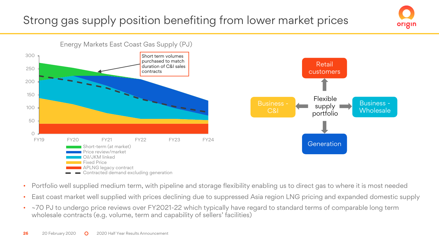## Strong gas supply position benefiting from lower market prices



origin

- Portfolio well supplied medium term, with pipeline and storage flexibility enabling us to direct gas to where it is most needed
- East coast market well supplied with prices declining due to suppressed Asia region LNG pricing and expanded domestic supply
- ~70 PJ to undergo price reviews over FY2021-22 which typically have regard to standard terms of comparable long term wholesale contracts (e.g. volume, term and capability of sellers' facilities)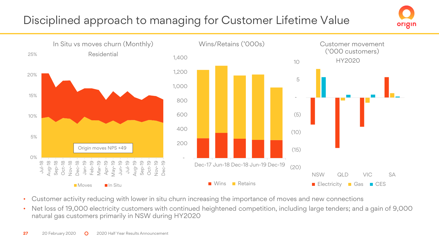## Disciplined approach to managing for Customer Lifetime Value





- Customer activity reducing with lower in situ churn increasing the importance of moves and new connections
- Net loss of 19,000 electricity customers with continued heightened competition, including large tenders; and a gain of 9,000 natural gas customers primarily in NSW during HY2020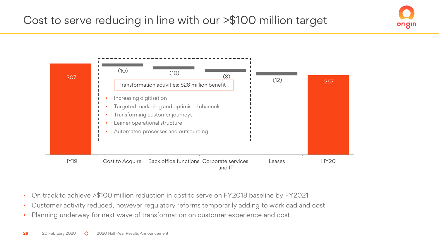

origin

- On track to achieve >\$100 million reduction in cost to serve on FY2018 baseline by FY2021
- Customer activity reduced, however regulatory reforms temporarily adding to workload and cost
- Planning underway for next wave of transformation on customer experience and cost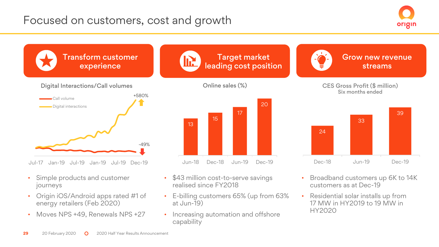## Focused on customers, cost and growth





- Simple products and customer journeys
- Origin iOS/Android apps rated #1 of energy retailers (Feb 2020)
- Moves NPS +49, Renewals NPS +27
- \$43 million cost-to-serve savings realised since FY2018
- E-billing customers 65% (up from 63% at Jun-19)
- Increasing automation and offshore capability
- Broadband customers up 6K to 14K customers as at Dec-19
- Residential solar installs up from 17 MW in HY2019 to 19 MW in HY2020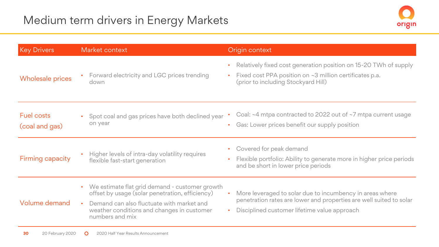

| <b>Key Drivers</b>                  | Market context                                                                                                                                                                                                                 | Origin context                                                                                                                                                                  |
|-------------------------------------|--------------------------------------------------------------------------------------------------------------------------------------------------------------------------------------------------------------------------------|---------------------------------------------------------------------------------------------------------------------------------------------------------------------------------|
| Wholesale prices                    | • Forward electricity and LGC prices trending<br>down                                                                                                                                                                          | Relatively fixed cost generation position on 15-20 TWh of supply<br>Fixed cost PPA position on ~3 million certificates p.a.<br>(prior to including Stockyard Hill)              |
| <b>Fuel costs</b><br>(coal and gas) | Spot coal and gas prices have both declined year<br>on year                                                                                                                                                                    | Coal: ~4 mtpa contracted to 2022 out of ~7 mtpa current usage<br>Gas: Lower prices benefit our supply position                                                                  |
| Firming capacity                    | Higher levels of intra-day volatility requires<br>flexible fast-start generation                                                                                                                                               | Covered for peak demand<br>$\bullet$<br>Flexible portfolio: Ability to generate more in higher price periods<br>and be short in lower price periods                             |
| Volume demand                       | We estimate flat grid demand - customer growth<br>offset by usage (solar penetration, efficiency)<br>Demand can also fluctuate with market and<br>$\bullet$ .<br>weather conditions and changes in customer<br>numbers and mix | More leveraged to solar due to incumbency in areas where<br>penetration rates are lower and properties are well suited to solar<br>Disciplined customer lifetime value approach |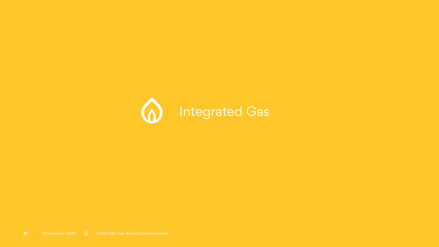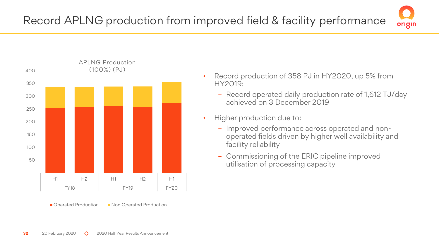



- Record production of 358 PJ in HY2020, up 5% from HY2019:
	- Record operated daily production rate of 1,612 TJ/day achieved on 3 December 2019
- Higher production due to:
	- Improved performance across operated and nonoperated fields driven by higher well availability and facility reliability
	- Commissioning of the ERIC pipeline improved utilisation of processing capacity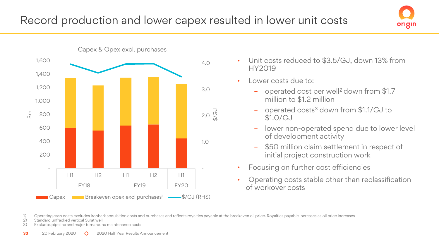

- Unit costs reduced to \$3.5/GJ, down 13% from HY2019
- Lower costs due to:
	- operated cost per well<sup>2</sup> down from \$1.7 million to \$1.2 million
	- operated costs<sup>3</sup> down from \$1.1/GJ to \$1.0/GJ
	- lower non-operated spend due to lower level of development activity

origin

- \$50 million claim settlement in respect of initial project construction work
- Focusing on further cost efficiencies
- Operating costs stable other than reclassification of workover costs

1) Operating cash costs excludes Ironbark acquisition costs and purchases and reflects royalties payable at the breakeven oil price. Royalties payable increases as oil price increases

2) Standard unfracked vertical Surat well<br>3) Excludes pipeline and major turnarour

Excludes pipeline and major turnaround maintenance costs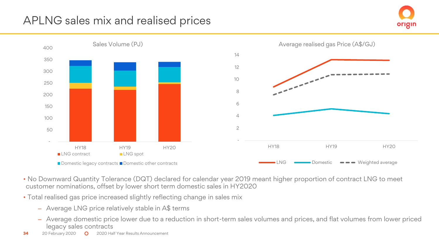## APLNG sales mix and realised prices





- No Downward Quantity Tolerance (DQT) declared for calendar year 2019 meant higher proportion of contract LNG to meet customer nominations, offset by lower short term domestic sales in HY2020
- Total realised gas price increased slightly reflecting change in sales mix
	- Average LNG price relatively stable in A\$ terms
	- Average domestic price lower due to a reduction in short-term sales volumes and prices, and flat volumes from lower priced legacy sales contracts
- **34** 20 February 2020 **Q** 2020 Half Year Results Announcement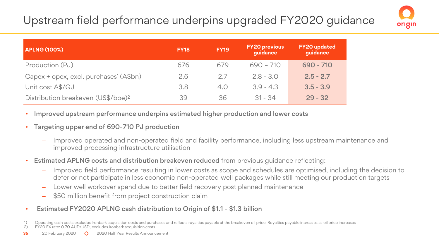## Upstream field performance underpins upgraded FY2020 guidance



| <b>APLNG (100%)</b>                                | <b>FY18</b> | <b>FY19</b> | <b>FY20 previous</b><br>quidance | <b>FY20</b> updated<br>quidance |
|----------------------------------------------------|-------------|-------------|----------------------------------|---------------------------------|
| Production (PJ)                                    | 676         | 679         | $690 - 710$                      | 690 - 710                       |
| Capex + opex, excl. purchases <sup>1</sup> (A\$bn) | 2.6         | 2.7         | $2.8 - 3.0$                      | $2.5 - 2.7$                     |
| Unit cost A\$/GJ                                   | 3.8         | 4.0         | $3.9 - 4.3$                      | $3.5 - 3.9$                     |
| Distribution breakeven (US\$/boe) <sup>2</sup>     | 39          | 36          | $31 - 34$                        | $29 - 32$                       |

- Improved upstream performance underpins estimated higher production and lower costs
- Targeting upper end of 690-710 PJ production
	- ‒ Improved operated and non-operated field and facility performance, including less upstream maintenance and improved processing infrastructure utilisation
- Estimated APLNG costs and distribution breakeven reduced from previous guidance reflecting:
	- ‒ Improved field performance resulting in lower costs as scope and schedules are optimised, including the decision to defer or not participate in less economic non-operated well packages while still meeting our production targets
	- ‒ Lower well workover spend due to better field recovery post planned maintenance
	- ‒ \$50 million benefit from project construction claim
- Estimated FY2020 APLNG cash distribution to Origin of \$1.1 \$1.3 billion

1) Operating cash costs excludes Ironbark acquisition costs and purchases and reflects royalties payable at the breakeven oil price. Royalties payable increases as oil price increases<br>2) FY20 FX rate: 0.70 AUD/USD, exclude 2) FY20 FX rate: 0.70 AUD/USD, excludes Ironbark acquisition costs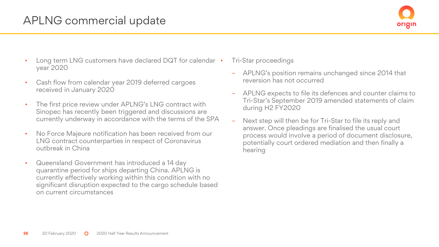## APLNG commercial update



- Long term LNG customers have declared DQT for calendar year 2020
- Cash flow from calendar year 2019 deferred cargoes received in January 2020
- The first price review under APLNG's LNG contract with Sinopec has recently been triggered and discussions are currently underway in accordance with the terms of the SPA
- No Force Majeure notification has been received from our LNG contract counterparties in respect of Coronavirus outbreak in China
- Queensland Government has introduced a 14 day quarantine period for ships departing China. APLNG is currently effectively working within this condition with no significant disruption expected to the cargo schedule based on current circumstances
- Tri-Star proceedings
	- APLNG's position remains unchanged since 2014 that reversion has not occurred
	- APLNG expects to file its defences and counter claims to Tri-Star's September 2019 amended statements of claim during H2 FY2020
	- Next step will then be for Tri-Star to file its reply and answer. Once pleadings are finalised the usual court process would involve a period of document disclosure, potentially court ordered mediation and then finally a hearing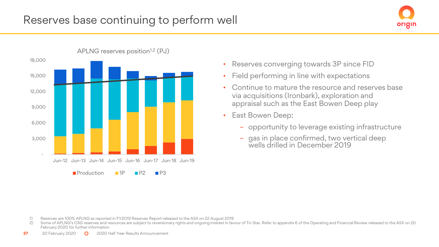



APLNG reserves position<sup>1,2</sup> (PJ)

- Reserves converging towards 3P since FID
- Field performing in line with expectations
- Continue to mature the resource and reserves base via acquisitions (Ironbark), exploration and appraisal such as the East Bowen Deep play
- East Bowen Deep:
	- opportunity to leverage existing infrastructure
	- gas in place confirmed, two vertical deep wells drilled in December 2019

- 1) Reserves are 100% APLNG as reported in FY2019 Reserves Report released to the ASX on 22 August 2019
- 2) Some of APLNG's CSG reserves and resources are subject to reversionary rights and ongoing interest in favour of Tri-Star. Refer to appendix 6 of the Operating and Financial Review released to the ASX on 20 February 2020 for further information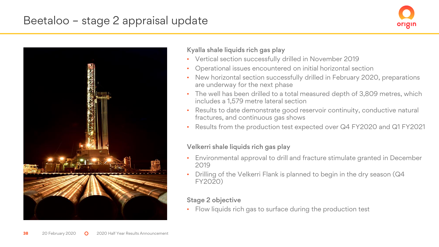## Beetaloo – stage 2 appraisal update





#### Kyalla shale liquids rich gas play

- Vertical section successfully drilled in November 2019
- Operational issues encountered on initial horizontal section
- New horizontal section successfully drilled in February 2020, preparations are underway for the next phase
- The well has been drilled to a total measured depth of 3,809 metres, which includes a 1,579 metre lateral section
- Results to date demonstrate good reservoir continuity, conductive natural fractures, and continuous gas shows
- Results from the production test expected over Q4 FY2020 and Q1 FY2021

### Velkerri shale liquids rich gas play

- Environmental approval to drill and fracture stimulate granted in December 2019
- Drilling of the Velkerri Flank is planned to begin in the dry season (Q4 FY2020)

## Stage 2 objective

Flow liquids rich gas to surface during the production test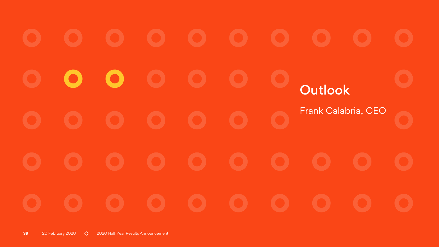Œ D. **Outlook** Frank Calabria, CEO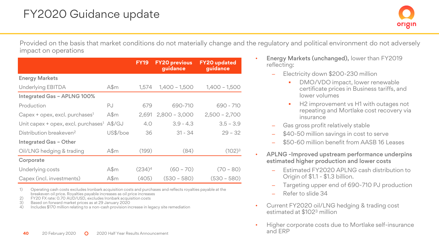Provided on the basis that market conditions do not materially change and the regulatory and political environment do not adversely impact on operations

|                                                 |          | <b>FY19</b> | <b>FY20 previous</b><br>guidance | <b>FY20</b> updated<br>guidance |
|-------------------------------------------------|----------|-------------|----------------------------------|---------------------------------|
| <b>Energy Markets</b>                           |          |             |                                  |                                 |
| <b>Underlying EBITDA</b>                        | $A\$ m   | 1.574       | $1,400 - 1,500$                  | $1,400 - 1,500$                 |
| Integrated Gas - APLNG 100%                     |          |             |                                  |                                 |
| Production                                      | PJ       | 679         | 690-710                          | 690 - 710                       |
| Capex + opex, excl. purchases <sup>1</sup>      | $A\$ m   | 2,691       | $2,800 - 3,000$                  | $2,500 - 2,700$                 |
| Unit capex + opex, excl. purchases <sup>1</sup> | A\$/GJ   | 4.0         | $3.9 - 4.3$                      | $3.5 - 3.9$                     |
| Distribution breakeven <sup>2</sup>             | US\$/boe | 36          | $31 - 34$                        | $29 - 32$                       |
| Integrated Gas - Other                          |          |             |                                  |                                 |
| Oil/LNG hedging & trading                       | $A\$ m   | (199)       | (84)                             | (102) <sup>3</sup>              |
| Corporate                                       |          |             |                                  |                                 |
| Underlying costs                                | $A\$ m   | $(234)^4$   | $(60 - 70)$                      | $(70 - 80)$                     |
| Capex (incl. investments)                       | $A\$ m   | (405)       | $(530 - 580)$                    | (530 – 580)                     |

1) Operating cash costs excludes Ironbark acquisition costs and purchases and reflects royalties payable at the breakeven oil price. Royalties payable increases as oil price increases

- 2) FY20 FX rate: 0.70 AUD/USD, excludes Ironbark acquisition costs
- 3) Based on forward market prices as at 29 January 2020

4) Includes \$170 million relating to a non-cash provision increase in legacy site remediation

- Energy Markets (unchanged), lower than FY2019 reflecting:
	- ‒ Electricity down \$200-230 million
		- DMO/VDO impact, lower renewable certificate prices in Business tariffs, and lower volumes
		- H2 improvement vs H1 with outages not repeating and Mortlake cost recovery via insurance
	- Gas gross profit relatively stable
	- \$40-50 million savings in cost to serve
	- \$50-60 million benefit from AASB 16 Leases
- APLNG -Improved upstream performance underpins estimated higher production and lower costs
	- ‒ Estimated FY2020 APLNG cash distribution to Origin of \$1.1 - \$1.3 billion.
	- ‒ Targeting upper end of 690-710 PJ production
	- Refer to slide 34
- Current FY2020 oil/LNG hedging & trading cost estimated at \$102<sup>3</sup> million
- Higher corporate costs due to Mortlake self-insurance and ERP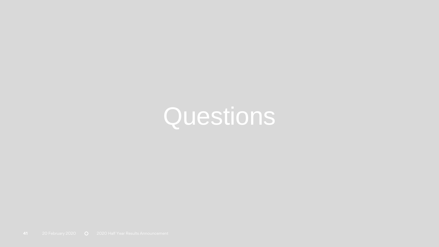## **Questions**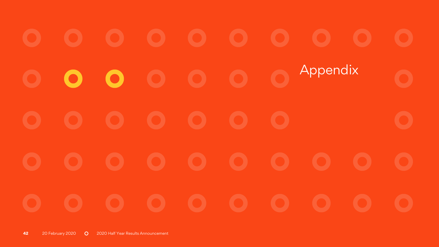Appendix $\bullet$  $\bullet$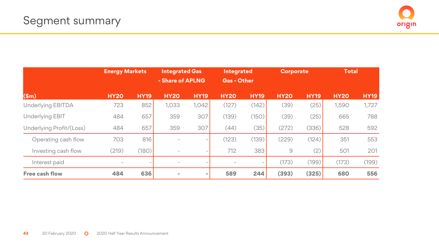

|                          | <b>Energy Markets</b>    |             | <b>Integrated Gas</b><br>- Share of APLNG |                          | <b>Integrated</b><br><b>Gas - Other</b> |             | <b>Corporate</b> |             | <b>Total</b> |             |
|--------------------------|--------------------------|-------------|-------------------------------------------|--------------------------|-----------------------------------------|-------------|------------------|-------------|--------------|-------------|
| \$m\$                    | <b>HY20</b>              | <b>HY19</b> | <b>HY20</b>                               | <b>HY19</b>              | <b>HY20</b>                             | <b>HY19</b> | <b>HY20</b>      | <b>HY19</b> | <b>HY20</b>  | <b>HY19</b> |
| Underlying EBITDA        | 723                      | 852         | 1,033                                     | 1,042                    | (127)                                   | (142)       | (39)             | (25)        | 1,590        | 1,727       |
| <b>Underlying EBIT</b>   | 484                      | 657         | 359                                       | 307                      | (139)                                   | (150)       | (39)             | (25)        | 665          | 788         |
| Underlying Profit/(Loss) | 484                      | 657         | 359                                       | 307                      | (44)                                    | (35)        | (272)            | (336)       | 528          | 592         |
| Operating cash flow      | 703                      | 816         |                                           | $\overline{\phantom{a}}$ | (123)                                   | (139)       | (229)            | (124)       | 351          | 553         |
| Investing cash flow      | (219)                    | (180)       |                                           | $\overline{\phantom{a}}$ | 712                                     | 383         | $\mathcal{G}$    | (2)         | 501          | 201         |
| Interest paid            | $\overline{\phantom{0}}$ |             | ٠.                                        |                          | $\overline{a}$                          | ۰           | (173)            | (199)       | (173)        | (199)       |
| Free cash flow           | 484                      | 636         |                                           | $\sim$                   | 589                                     | 244         | (393)            | (325)       | 680          | 556         |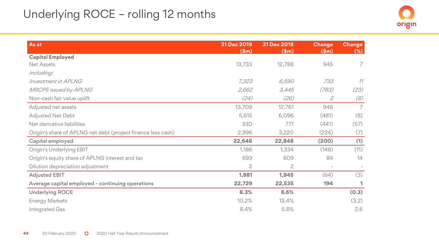## Underlying ROCE – rolling 12 months

| As at                                                        | 31 Dec 2019<br>\$m\$ | 31 Dec 2018<br>\$m\$ | <b>Change</b><br>\$m\$ | <b>Change</b><br>$(\%)$ |
|--------------------------------------------------------------|----------------------|----------------------|------------------------|-------------------------|
| <b>Capital Employed</b>                                      |                      |                      |                        |                         |
| <b>Net Assets</b>                                            | 13,733               | 12,788               | 945                    | 7                       |
| including:                                                   |                      |                      |                        |                         |
| Investment in APLNG                                          | 7,323                | 6,590                | 733                    | 11                      |
| <b>MRCPS</b> issued by APLNG                                 | 2,662                | 3,445                | (783)                  | (23)                    |
| Non-cash fair value uplift                                   | (24)                 | (26)                 | 2                      | (8)                     |
| Adjusted net assets                                          | 13,709               | 12,761               | 948                    | 7                       |
| <b>Adjusted Net Debt</b>                                     | 5,615                | 6,096                | (481)                  | (8)                     |
| Net derivative liabilities                                   | 330                  | 771                  | (441)                  | (57)                    |
| Origin's share of APLNG net debt (project finance less cash) | 2,996                | 3,220                | (224)                  | (7)                     |
| Capital employed                                             | 22,648               | 22,848               | (200)                  | (1)                     |
| Origin's Underlying EBIT                                     | 1,186                | 1,334                | (148)                  | (11)                    |
| Origin's equity share of APLNG interest and tax              | 693                  | 609                  | 84                     | 14                      |
| Dilution depreciation adjustment                             | 2                    | $\overline{c}$       | $\overline{a}$         |                         |
| <b>Adjusted EBIT</b>                                         | 1,881                | 1,945                | (64)                   | (3)                     |
| Average capital employed - continuing operations             | 22,729               | 22,535               | 194                    | 1                       |
| <b>Underlying ROCE</b>                                       | 8.3%                 | 8.6%                 |                        | (0.3)                   |
| <b>Energy Markets</b>                                        | 10.2%                | 13.4%                |                        | (3.2)                   |
| Integrated Gas                                               | 8.4%                 | 5.8%                 |                        | 2.6                     |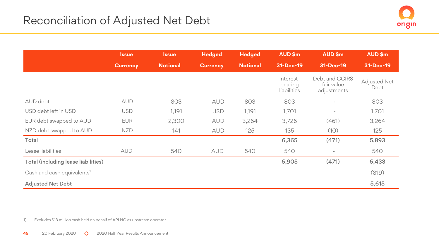|                                        | <b>Issue</b>    | <b>Issue</b>    | <b>Hedged</b>   | <b>Hedged</b>   | AUD\$m                              | AUD\$m                                      | AUD\$m                      |
|----------------------------------------|-----------------|-----------------|-----------------|-----------------|-------------------------------------|---------------------------------------------|-----------------------------|
|                                        | <b>Currency</b> | <b>Notional</b> | <b>Currency</b> | <b>Notional</b> | 31-Dec-19                           | 31-Dec-19                                   | 31-Dec-19                   |
|                                        |                 |                 |                 |                 | Interest-<br>bearing<br>liabilities | Debt and CCIRS<br>fair value<br>adjustments | <b>Adjusted Net</b><br>Debt |
| AUD debt                               | <b>AUD</b>      | 803             | <b>AUD</b>      | 803             | 803                                 |                                             | 803                         |
| USD debt left in USD                   | <b>USD</b>      | 1,191           | <b>USD</b>      | 1,191           | 1,701                               | $\overline{\phantom{a}}$                    | 1,701                       |
| EUR debt swapped to AUD                | <b>EUR</b>      | 2,300           | <b>AUD</b>      | 3,264           | 3,726                               | (461)                                       | 3,264                       |
| NZD debt swapped to AUD                | <b>NZD</b>      | 141             | <b>AUD</b>      | 125             | 135                                 | (10)                                        | 125                         |
| Total                                  |                 |                 |                 |                 | 6,365                               | (471)                                       | 5,893                       |
| Lease liabilities                      | <b>AUD</b>      | 540             | <b>AUD</b>      | 540             | 540                                 | $\overline{\phantom{a}}$                    | 540                         |
| Total (including lease liabilities)    |                 |                 |                 |                 | 6,905                               | (471)                                       | 6,433                       |
| Cash and cash equivalents <sup>1</sup> |                 |                 |                 |                 |                                     |                                             | (819)                       |
| <b>Adjusted Net Debt</b>               |                 |                 |                 |                 |                                     |                                             | 5,615                       |

1) Excludes \$13 million cash held on behalf of APLNG as upstream operator.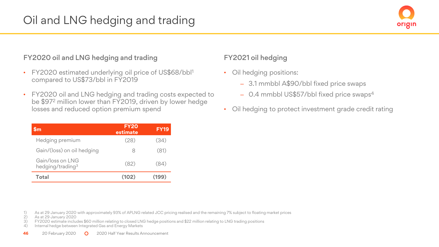#### FY2020 oil and LNG hedging and trading

- FY2020 estimated underlying oil price of US\$68/bbl<sup>1</sup> compared to US\$73/bbl in FY2019
- FY2020 oil and LNG hedging and trading costs expected to be \$97<sup>2</sup> million lower than FY2019, driven by lower hedge losses and reduced option premium spend

| <b>Sm</b>                                         | <b>FY20</b><br>estimate | <b>FY19</b> |
|---------------------------------------------------|-------------------------|-------------|
| Hedging premium                                   | (28)                    | (34)        |
| Gain/(loss) on oil hedging                        | 8                       | (81)        |
| Gain/loss on I NG<br>hedging/trading <sup>3</sup> | (82)                    | (84)        |
| Total                                             | (102)                   | 199)        |

### FY2021 oil hedging

- Oil hedging positions:
	- ‒ 3.1 mmbbl A\$90/bbl fixed price swaps
	- 0.4 mmbbl US\$57/bbl fixed price swaps<sup>4</sup>
- Oil hedging to protect investment grade credit rating

- 1) As at 29 January 2020 with approximately 93% of APLNG related JCC pricing realised and the remaining 7% subject to floating market prices
- 2) As at 29 January 2020

3) FY2020 estimate includes \$60 million relating to closed LNG hedge positions and \$22 million relating to LNG trading positions

Internal hedge between Integrated Gas and Energy Markets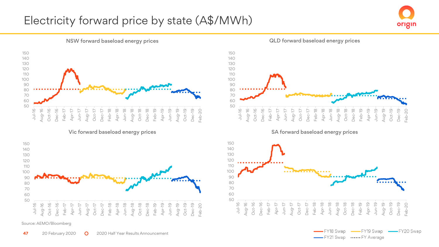## Electricity forward price by state (A\$/MWh)





Vic forward baseload energy prices SA forward baseload energy prices



Source: AEMO/Bloomberg

QLD forward baseload energy prices





-FY21 Swap .....FY Average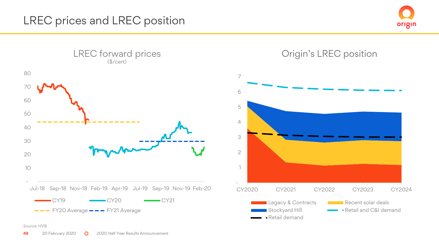



Source: HVB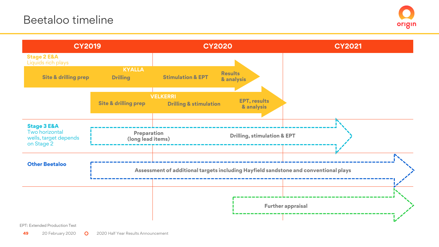

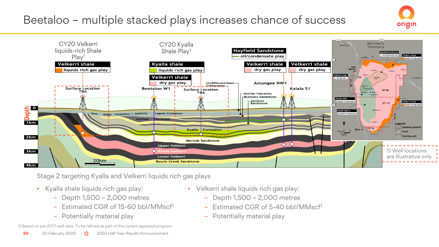## Beetaloo – multiple stacked plays increases chance of success





Stage 2 targeting Kyalla and Velkerri liquids rich gas plays

- Kyalla shale liquids rich gas play:
	- Depth 1,500 2,000 metres
	- Estimated CGR of 15-60 bbl/MMscf<sup>1</sup>
	- Potentially material play

1) Based on pre 2017 well data. To be refined as part of the current appraisal program

- Velkerri shale liquids rich gas play:
	- Depth 1,500 2,000 metres
	- Estimated CGR of 5-40 bbl/MMscf<sup>1</sup>
	- Potentially material play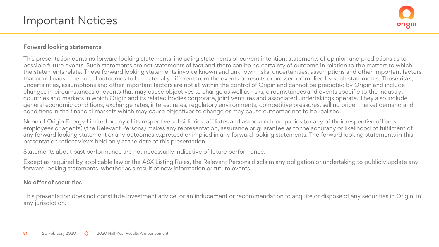#### Forward looking statements

This presentation contains forward looking statements, including statements of current intention, statements of opinion and predictions as to possible future events. Such statements are not statements of fact and there can be no certainty of outcome in relation to the matters to which the statements relate. These forward looking statements involve known and unknown risks, uncertainties, assumptions and other important factors that could cause the actual outcomes to be materially different from the events or results expressed or implied by such statements. Those risks, uncertainties, assumptions and other important factors are not all within the control of Origin and cannot be predicted by Origin and include changes in circumstances or events that may cause objectives to change as well as risks, circumstances and events specific to the industry, countries and markets in which Origin and its related bodies corporate, joint ventures and associated undertakings operate. They also include general economic conditions, exchange rates, interest rates, regulatory environments, competitive pressures, selling price, market demand and conditions in the financial markets which may cause objectives to change or may cause outcomes not to be realised.

None of Origin Energy Limited or any of its respective subsidiaries, affiliates and associated companies (or any of their respective officers, employees or agents) (the Relevant Persons) makes any representation, assurance or guarantee as to the accuracy or likelihood of fulfilment of any forward looking statement or any outcomes expressed or implied in any forward looking statements. The forward looking statements in this presentation reflect views held only at the date of this presentation.

Statements about past performance are not necessarily indicative of future performance.

Except as required by applicable law or the ASX Listing Rules, the Relevant Persons disclaim any obligation or undertaking to publicly update any forward looking statements, whether as a result of new information or future events.

#### No offer of securities

This presentation does not constitute investment advice, or an inducement or recommendation to acquire or dispose of any securities in Origin, in any jurisdiction.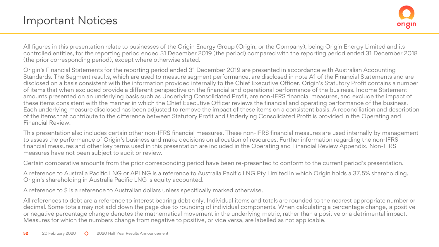All figures in this presentation relate to businesses of the Origin Energy Group (Origin, or the Company), being Origin Energy Limited and its controlled entities, for the reporting period ended 31 December 2019 (the period) compared with the reporting period ended 31 December 2018 (the prior corresponding period), except where otherwise stated.

Origin's Financial Statements for the reporting period ended 31 December 2019 are presented in accordance with Australian Accounting Standards. The Segment results, which are used to measure segment performance, are disclosed in note A1 of the Financial Statements and are disclosed on a basis consistent with the information provided internally to the Chief Executive Officer. Origin's Statutory Profit contains a number of items that when excluded provide a different perspective on the financial and operational performance of the business. Income Statement amounts presented on an underlying basis such as Underlying Consolidated Profit, are non-IFRS financial measures, and exclude the impact of these items consistent with the manner in which the Chief Executive Officer reviews the financial and operating performance of the business. Each underlying measure disclosed has been adjusted to remove the impact of these items on a consistent basis. A reconciliation and description of the items that contribute to the difference between Statutory Profit and Underlying Consolidated Profit is provided in the Operating and Financial Review.

This presentation also includes certain other non-IFRS financial measures. These non-IFRS financial measures are used internally by management to assess the performance of Origin's business and make decisions on allocation of resources. Further information regarding the non-IFRS financial measures and other key terms used in this presentation are included in the Operating and Financial Review Appendix. Non-IFRS measures have not been subject to audit or review.

Certain comparative amounts from the prior corresponding period have been re-presented to conform to the current period's presentation.

A reference to Australia Pacific LNG or APLNG is a reference to Australia Pacific LNG Pty Limited in which Origin holds a 37.5% shareholding. Origin's shareholding in Australia Pacific LNG is equity accounted.

A reference to \$ is a reference to Australian dollars unless specifically marked otherwise.

All references to debt are a reference to interest bearing debt only. Individual items and totals are rounded to the nearest appropriate number or decimal. Some totals may not add down the page due to rounding of individual components. When calculating a percentage change, a positive or negative percentage change denotes the mathematical movement in the underlying metric, rather than a positive or a detrimental impact. Measures for which the numbers change from negative to positive, or vice versa, are labelled as not applicable.